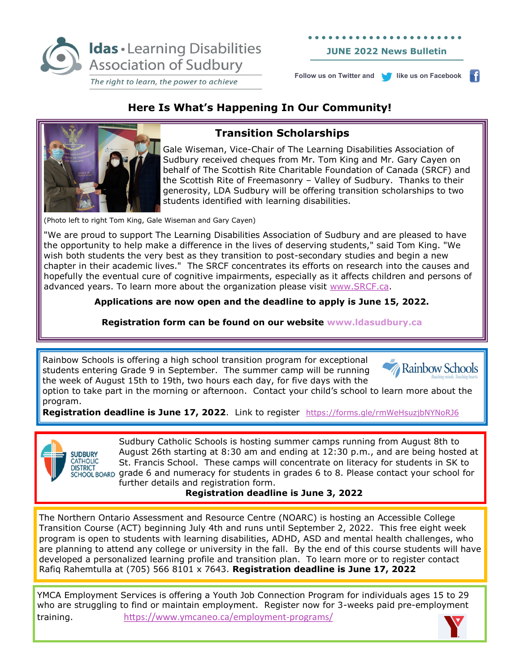

**JUNE 2022 News Bulletin** 

**Follow us on Twitter and <b>li** like us on Facebook

H

# **Here Is What's Happening In Our Community!**



# **Transition Scholarships**

Gale Wiseman, Vice-Chair of The Learning Disabilities Association of Sudbury received cheques from Mr. Tom King and Mr. Gary Cayen on behalf of The Scottish Rite Charitable Foundation of Canada (SRCF) and the Scottish Rite of Freemasonry – Valley of Sudbury. Thanks to their generosity, LDA Sudbury will be offering transition scholarships to two students identified with learning disabilities.

(Photo left to right Tom King, Gale Wiseman and Gary Cayen)

"We are proud to support The Learning Disabilities Association of Sudbury and are pleased to have the opportunity to help make a difference in the lives of deserving students," said Tom King. "We wish both students the very best as they transition to post-secondary studies and begin a new chapter in their academic lives." The SRCF concentrates its efforts on research into the causes and hopefully the eventual cure of cognitive impairments, especially as it affects children and persons of advanced years. To learn more about the organization please visit [www.SRCF.ca.](http://www.SRCF.ca)

**Applications are now open and the deadline to apply is June 15, 2022.** 

**Registration form can be found on our website www.ldasudbury.ca**

Rainbow Schools is offering a high school transition program for exceptional students entering Grade 9 in September. The summer camp will be running the week of August 15th to 19th, two hours each day, for five days with the



option to take part in the morning or afternoon. Contact your child's school to learn more about the program.

**Registration deadline is June 17, 2022**. Link to register <https://forms.gle/rmWeHsuzjbNYNoRJ6>



Sudbury Catholic Schools is hosting summer camps running from August 8th to August 26th starting at 8:30 am and ending at 12:30 p.m., and are being hosted at St. Francis School. These camps will concentrate on literacy for students in SK to  $\frac{1}{2}$   $\frac{1}{2}$   $\frac{1}{2}$   $\frac{1}{2}$   $\frac{1}{2}$   $\frac{1}{2}$   $\frac{1}{2}$   $\frac{1}{2}$  for students in grades 6 to 8. Please contact your school for further details and registration form.

#### **Registration deadline is June 3, 2022**

The Northern Ontario Assessment and Resource Centre (NOARC) is hosting an Accessible College Transition Course (ACT) beginning July 4th and runs until September 2, 2022. This free eight week program is open to students with learning disabilities, ADHD, ASD and mental health challenges, who are planning to attend any college or university in the fall. By the end of this course students will have developed a personalized learning profile and transition plan. To learn more or to register contact Rafiq Rahemtulla at (705) 566 8101 x 7643. **Registration deadline is June 17, 2022**

YMCA Employment Services is offering a Youth Job Connection Program for individuals ages 15 to 29 who are struggling to find or maintain employment. Register now for 3-weeks paid pre-employment training. [https://www.ymcaneo.ca/employment](https://www.ymcaneo.ca/employment-programs/)-programs/